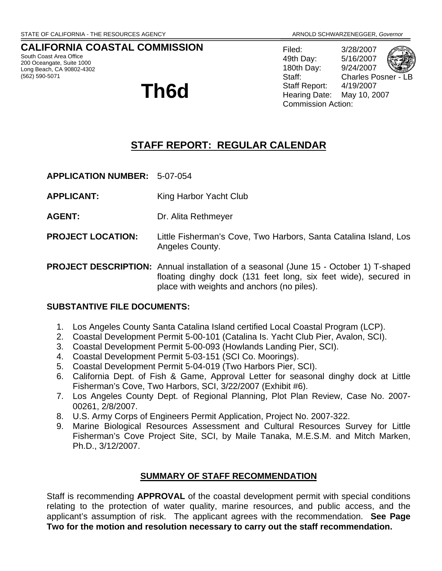# **CALIFORNIA COASTAL COMMISSION**

South Coast Area Office 200 Oceangate, Suite 1000 Long Beach, CA 90802-4302 (562) 590-5071

# **Th6d**

Filed: 3/28/2007 49th Day: 5/16/2007 180th Day: 9/24/2007 Staff: Charles Posner -Staff Report: 4/19/2007 Hearing Date: May 10, 2007 Commission Action:

# **STAFF REPORT: REGULAR CALENDAR**

**APPLICATION NUMBER:** 5-07-054

- **APPLICANT:** King Harbor Yacht Club
- **AGENT:** Dr. Alita Rethmeyer
- **PROJECT LOCATION:** Little Fisherman's Cove, Two Harbors, Santa Catalina Island, Los Angeles County.
- **PROJECT DESCRIPTION:** Annual installation of a seasonal (June 15 October 1) T-shaped floating dinghy dock (131 feet long, six feet wide), secured in place with weights and anchors (no piles).

## **SUBSTANTIVE FILE DOCUMENTS:**

- 1. Los Angeles County Santa Catalina Island certified Local Coastal Program (LCP).
- 2. Coastal Development Permit 5-00-101 (Catalina Is. Yacht Club Pier, Avalon, SCI).
- 3. Coastal Development Permit 5-00-093 (Howlands Landing Pier, SCI).
- 4. Coastal Development Permit 5-03-151 (SCI Co. Moorings).
- 5. Coastal Development Permit 5-04-019 (Two Harbors Pier, SCI).
- 6. California Dept. of Fish & Game, Approval Letter for seasonal dinghy dock at Little Fisherman's Cove, Two Harbors, SCI, 3/22/2007 (Exhibit #6).
- 7. Los Angeles County Dept. of Regional Planning, Plot Plan Review, Case No. 2007- 00261, 2/8/2007.
- 8. U.S. Army Corps of Engineers Permit Application, Project No. 2007-322.
- 9. Marine Biological Resources Assessment and Cultural Resources Survey for Little Fisherman's Cove Project Site, SCI, by Maile Tanaka, M.E.S.M. and Mitch Marken, Ph.D., 3/12/2007.

## **SUMMARY OF STAFF RECOMMENDATION**

Staff is recommending **APPROVAL** of the coastal development permit with special conditions relating to the protection of water quality, marine resources, and public access, and the applicant's assumption of risk. The applicant agrees with the recommendation. **See Page Two for the motion and resolution necessary to carry out the staff recommendation.**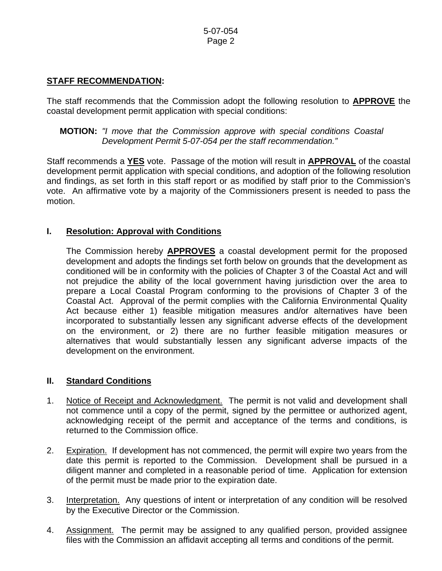# **STAFF RECOMMENDATION:**

The staff recommends that the Commission adopt the following resolution to **APPROVE** the coastal development permit application with special conditions:

## **MOTION:** *"I move that the Commission approve with special conditions Coastal Development Permit 5-07-054 per the staff recommendation."*

Staff recommends a **YES** vote. Passage of the motion will result in **APPROVAL** of the coastal development permit application with special conditions, and adoption of the following resolution and findings, as set forth in this staff report or as modified by staff prior to the Commission's vote. An affirmative vote by a majority of the Commissioners present is needed to pass the motion.

# **I. Resolution: Approval with Conditions**

The Commission hereby **APPROVES** a coastal development permit for the proposed development and adopts the findings set forth below on grounds that the development as conditioned will be in conformity with the policies of Chapter 3 of the Coastal Act and will not prejudice the ability of the local government having jurisdiction over the area to prepare a Local Coastal Program conforming to the provisions of Chapter 3 of the Coastal Act. Approval of the permit complies with the California Environmental Quality Act because either 1) feasible mitigation measures and/or alternatives have been incorporated to substantially lessen any significant adverse effects of the development on the environment, or 2) there are no further feasible mitigation measures or alternatives that would substantially lessen any significant adverse impacts of the development on the environment.

## **II. Standard Conditions**

- 1. Notice of Receipt and Acknowledgment. The permit is not valid and development shall not commence until a copy of the permit, signed by the permittee or authorized agent, acknowledging receipt of the permit and acceptance of the terms and conditions, is returned to the Commission office.
- 2. Expiration. If development has not commenced, the permit will expire two years from the date this permit is reported to the Commission. Development shall be pursued in a diligent manner and completed in a reasonable period of time. Application for extension of the permit must be made prior to the expiration date.
- 3. Interpretation. Any questions of intent or interpretation of any condition will be resolved by the Executive Director or the Commission.
- 4. Assignment. The permit may be assigned to any qualified person, provided assignee files with the Commission an affidavit accepting all terms and conditions of the permit.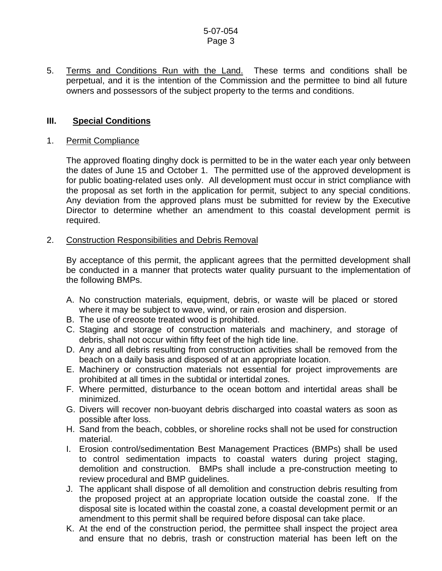5. Terms and Conditions Run with the Land. These terms and conditions shall be perpetual, and it is the intention of the Commission and the permittee to bind all future owners and possessors of the subject property to the terms and conditions.

## **III. Special Conditions**

#### 1. Permit Compliance

 The approved floating dinghy dock is permitted to be in the water each year only between the dates of June 15 and October 1. The permitted use of the approved development is for public boating-related uses only. All development must occur in strict compliance with the proposal as set forth in the application for permit, subject to any special conditions. Any deviation from the approved plans must be submitted for review by the Executive Director to determine whether an amendment to this coastal development permit is required.

#### 2. Construction Responsibilities and Debris Removal

By acceptance of this permit, the applicant agrees that the permitted development shall be conducted in a manner that protects water quality pursuant to the implementation of the following BMPs.

- A. No construction materials, equipment, debris, or waste will be placed or stored where it may be subject to wave, wind, or rain erosion and dispersion.
- B. The use of creosote treated wood is prohibited.
- C. Staging and storage of construction materials and machinery, and storage of debris, shall not occur within fifty feet of the high tide line.
- D. Any and all debris resulting from construction activities shall be removed from the beach on a daily basis and disposed of at an appropriate location.
- E. Machinery or construction materials not essential for project improvements are prohibited at all times in the subtidal or intertidal zones.
- F. Where permitted, disturbance to the ocean bottom and intertidal areas shall be minimized.
- G. Divers will recover non-buoyant debris discharged into coastal waters as soon as possible after loss.
- H. Sand from the beach, cobbles, or shoreline rocks shall not be used for construction material.
- I. Erosion control/sedimentation Best Management Practices (BMPs) shall be used to control sedimentation impacts to coastal waters during project staging, demolition and construction. BMPs shall include a pre-construction meeting to review procedural and BMP guidelines.
- J. The applicant shall dispose of all demolition and construction debris resulting from the proposed project at an appropriate location outside the coastal zone. If the disposal site is located within the coastal zone, a coastal development permit or an amendment to this permit shall be required before disposal can take place.
- K. At the end of the construction period, the permittee shall inspect the project area and ensure that no debris, trash or construction material has been left on the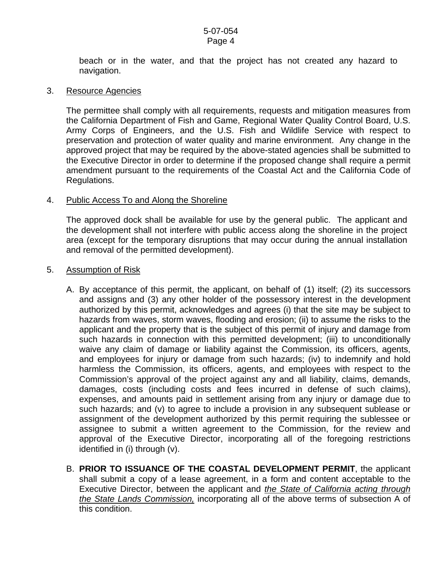beach or in the water, and that the project has not created any hazard to navigation.

#### 3. Resource Agencies

The permittee shall comply with all requirements, requests and mitigation measures from the California Department of Fish and Game, Regional Water Quality Control Board, U.S. Army Corps of Engineers, and the U.S. Fish and Wildlife Service with respect to preservation and protection of water quality and marine environment. Any change in the approved project that may be required by the above-stated agencies shall be submitted to the Executive Director in order to determine if the proposed change shall require a permit amendment pursuant to the requirements of the Coastal Act and the California Code of Regulations.

#### 4. Public Access To and Along the Shoreline

The approved dock shall be available for use by the general public. The applicant and the development shall not interfere with public access along the shoreline in the project area (except for the temporary disruptions that may occur during the annual installation and removal of the permitted development).

#### 5. Assumption of Risk

- A. By acceptance of this permit, the applicant, on behalf of (1) itself; (2) its successors and assigns and (3) any other holder of the possessory interest in the development authorized by this permit, acknowledges and agrees (i) that the site may be subject to hazards from waves, storm waves, flooding and erosion; (ii) to assume the risks to the applicant and the property that is the subject of this permit of injury and damage from such hazards in connection with this permitted development; (iii) to unconditionally waive any claim of damage or liability against the Commission, its officers, agents, and employees for injury or damage from such hazards; (iv) to indemnify and hold harmless the Commission, its officers, agents, and employees with respect to the Commission's approval of the project against any and all liability, claims, demands, damages, costs (including costs and fees incurred in defense of such claims), expenses, and amounts paid in settlement arising from any injury or damage due to such hazards; and (v) to agree to include a provision in any subsequent sublease or assignment of the development authorized by this permit requiring the sublessee or assignee to submit a written agreement to the Commission, for the review and approval of the Executive Director, incorporating all of the foregoing restrictions identified in (i) through (v).
- B. **PRIOR TO ISSUANCE OF THE COASTAL DEVELOPMENT PERMIT**, the applicant shall submit a copy of a lease agreement, in a form and content acceptable to the Executive Director, between the applicant and *the State of California acting through the State Lands Commission,* incorporating all of the above terms of subsection A of this condition.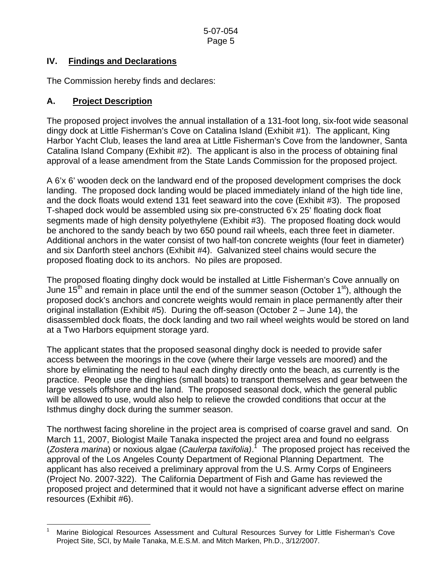# **IV. Findings and Declarations**

The Commission hereby finds and declares:

# **A. Project Description**

The proposed project involves the annual installation of a 131-foot long, six-foot wide seasonal dingy dock at Little Fisherman's Cove on Catalina Island (Exhibit #1). The applicant, King Harbor Yacht Club, leases the land area at Little Fisherman's Cove from the landowner, Santa Catalina Island Company (Exhibit #2). The applicant is also in the process of obtaining final approval of a lease amendment from the State Lands Commission for the proposed project.

A 6'x 6' wooden deck on the landward end of the proposed development comprises the dock landing. The proposed dock landing would be placed immediately inland of the high tide line, and the dock floats would extend 131 feet seaward into the cove (Exhibit #3). The proposed T-shaped dock would be assembled using six pre-constructed 6'x 25' floating dock float segments made of high density polyethylene (Exhibit #3). The proposed floating dock would be anchored to the sandy beach by two 650 pound rail wheels, each three feet in diameter. Additional anchors in the water consist of two half-ton concrete weights (four feet in diameter) and six Danforth steel anchors (Exhibit #4). Galvanized steel chains would secure the proposed floating dock to its anchors. No piles are proposed.

The proposed floating dinghy dock would be installed at Little Fisherman's Cove annually on June 15<sup>th</sup> and remain in place until the end of the summer season (October 1<sup>st</sup>), although the proposed dock's anchors and concrete weights would remain in place permanently after their original installation (Exhibit #5). During the off-season (October 2 – June 14), the disassembled dock floats, the dock landing and two rail wheel weights would be stored on land at a Two Harbors equipment storage yard.

The applicant states that the proposed seasonal dinghy dock is needed to provide safer access between the moorings in the cove (where their large vessels are moored) and the shore by eliminating the need to haul each dinghy directly onto the beach, as currently is the practice. People use the dinghies (small boats) to transport themselves and gear between the large vessels offshore and the land. The proposed seasonal dock, which the general public will be allowed to use, would also help to relieve the crowded conditions that occur at the Isthmus dinghy dock during the summer season.

The northwest facing shoreline in the project area is comprised of coarse gravel and sand. On March 11, 2007, Biologist Maile Tanaka inspected the project area and found no eelgrass (*Zostera marina*) or noxious algae (*Caulerpa taxifolia)*. [1](#page-4-0) The proposed project has received the approval of the Los Angeles County Department of Regional Planning Department. The applicant has also received a preliminary approval from the U.S. Army Corps of Engineers (Project No. 2007-322). The California Department of Fish and Game has reviewed the proposed project and determined that it would not have a significant adverse effect on marine resources (Exhibit #6).

<span id="page-4-0"></span>l 1 Marine Biological Resources Assessment and Cultural Resources Survey for Little Fisherman's Cove Project Site, SCI, by Maile Tanaka, M.E.S.M. and Mitch Marken, Ph.D., 3/12/2007.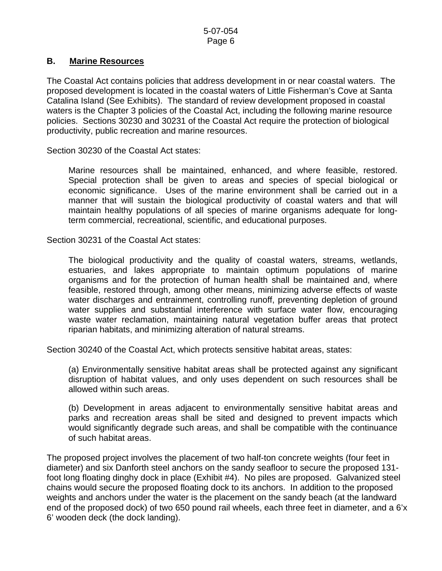# **B. Marine Resources**

The Coastal Act contains policies that address development in or near coastal waters. The proposed development is located in the coastal waters of Little Fisherman's Cove at Santa Catalina Island (See Exhibits). The standard of review development proposed in coastal waters is the Chapter 3 policies of the Coastal Act, including the following marine resource policies. Sections 30230 and 30231 of the Coastal Act require the protection of biological productivity, public recreation and marine resources.

Section 30230 of the Coastal Act states:

 Marine resources shall be maintained, enhanced, and where feasible, restored. Special protection shall be given to areas and species of special biological or economic significance. Uses of the marine environment shall be carried out in a manner that will sustain the biological productivity of coastal waters and that will maintain healthy populations of all species of marine organisms adequate for longterm commercial, recreational, scientific, and educational purposes.

Section 30231 of the Coastal Act states:

 The biological productivity and the quality of coastal waters, streams, wetlands, estuaries, and lakes appropriate to maintain optimum populations of marine organisms and for the protection of human health shall be maintained and, where feasible, restored through, among other means, minimizing adverse effects of waste water discharges and entrainment, controlling runoff, preventing depletion of ground water supplies and substantial interference with surface water flow, encouraging waste water reclamation, maintaining natural vegetation buffer areas that protect riparian habitats, and minimizing alteration of natural streams.

Section 30240 of the Coastal Act, which protects sensitive habitat areas, states:

(a) Environmentally sensitive habitat areas shall be protected against any significant disruption of habitat values, and only uses dependent on such resources shall be allowed within such areas.

(b) Development in areas adjacent to environmentally sensitive habitat areas and parks and recreation areas shall be sited and designed to prevent impacts which would significantly degrade such areas, and shall be compatible with the continuance of such habitat areas.

The proposed project involves the placement of two half-ton concrete weights (four feet in diameter) and six Danforth steel anchors on the sandy seafloor to secure the proposed 131 foot long floating dinghy dock in place (Exhibit #4). No piles are proposed. Galvanized steel chains would secure the proposed floating dock to its anchors. In addition to the proposed weights and anchors under the water is the placement on the sandy beach (at the landward end of the proposed dock) of two 650 pound rail wheels, each three feet in diameter, and a 6'x 6' wooden deck (the dock landing).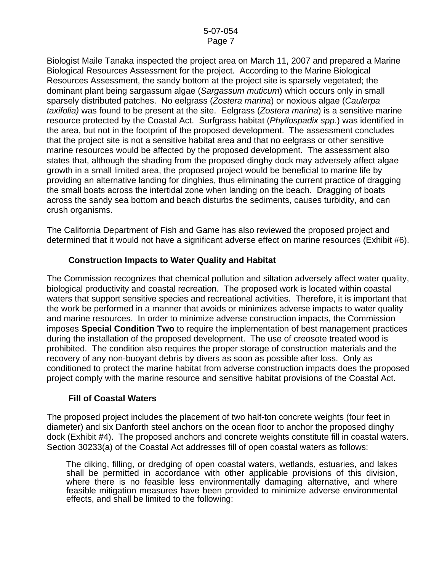Biologist Maile Tanaka inspected the project area on March 11, 2007 and prepared a Marine Biological Resources Assessment for the project. According to the Marine Biological Resources Assessment, the sandy bottom at the project site is sparsely vegetated; the dominant plant being sargassum algae (*Sargassum muticum*) which occurs only in small sparsely distributed patches. No eelgrass (*Zostera marina*) or noxious algae (*Caulerpa taxifolia)* was found to be present at the site. Eelgrass (*Zostera marina*) is a sensitive marine resource protected by the Coastal Act. Surfgrass habitat (*Phyllospadix spp*.) was identified in the area, but not in the footprint of the proposed development. The assessment concludes that the project site is not a sensitive habitat area and that no eelgrass or other sensitive marine resources would be affected by the proposed development. The assessment also states that, although the shading from the proposed dinghy dock may adversely affect algae growth in a small limited area, the proposed project would be beneficial to marine life by providing an alternative landing for dinghies, thus eliminating the current practice of dragging the small boats across the intertidal zone when landing on the beach. Dragging of boats across the sandy sea bottom and beach disturbs the sediments, causes turbidity, and can crush organisms.

The California Department of Fish and Game has also reviewed the proposed project and determined that it would not have a significant adverse effect on marine resources (Exhibit #6).

# **Construction Impacts to Water Quality and Habitat**

The Commission recognizes that chemical pollution and siltation adversely affect water quality, biological productivity and coastal recreation. The proposed work is located within coastal waters that support sensitive species and recreational activities. Therefore, it is important that the work be performed in a manner that avoids or minimizes adverse impacts to water quality and marine resources. In order to minimize adverse construction impacts, the Commission imposes **Special Condition Two** to require the implementation of best management practices during the installation of the proposed development. The use of creosote treated wood is prohibited. The condition also requires the proper storage of construction materials and the recovery of any non-buoyant debris by divers as soon as possible after loss. Only as conditioned to protect the marine habitat from adverse construction impacts does the proposed project comply with the marine resource and sensitive habitat provisions of the Coastal Act.

## **Fill of Coastal Waters**

The proposed project includes the placement of two half-ton concrete weights (four feet in diameter) and six Danforth steel anchors on the ocean floor to anchor the proposed dinghy dock (Exhibit #4). The proposed anchors and concrete weights constitute fill in coastal waters. Section 30233(a) of the Coastal Act addresses fill of open coastal waters as follows:

The diking, filling, or dredging of open coastal waters, wetlands, estuaries, and lakes shall be permitted in accordance with other applicable provisions of this division, where there is no feasible less environmentally damaging alternative, and where feasible mitigation measures have been provided to minimize adverse environmental effects, and shall be limited to the following: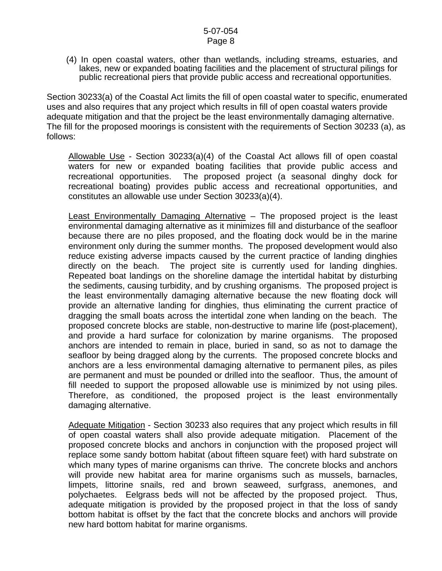(4) In open coastal waters, other than wetlands, including streams, estuaries, and lakes, new or expanded boating facilities and the placement of structural pilings for public recreational piers that provide public access and recreational opportunities.

Section 30233(a) of the Coastal Act limits the fill of open coastal water to specific, enumerated uses and also requires that any project which results in fill of open coastal waters provide adequate mitigation and that the project be the least environmentally damaging alternative. The fill for the proposed moorings is consistent with the requirements of Section 30233 (a), as follows:

Allowable Use - Section 30233(a)(4) of the Coastal Act allows fill of open coastal waters for new or expanded boating facilities that provide public access and recreational opportunities. The proposed project (a seasonal dinghy dock for recreational boating) provides public access and recreational opportunities, and constitutes an allowable use under Section 30233(a)(4).

Least Environmentally Damaging Alternative – The proposed project is the least environmental damaging alternative as it minimizes fill and disturbance of the seafloor because there are no piles proposed, and the floating dock would be in the marine environment only during the summer months. The proposed development would also reduce existing adverse impacts caused by the current practice of landing dinghies directly on the beach. The project site is currently used for landing dinghies. Repeated boat landings on the shoreline damage the intertidal habitat by disturbing the sediments, causing turbidity, and by crushing organisms. The proposed project is the least environmentally damaging alternative because the new floating dock will provide an alternative landing for dinghies, thus eliminating the current practice of dragging the small boats across the intertidal zone when landing on the beach. The proposed concrete blocks are stable, non-destructive to marine life (post-placement), and provide a hard surface for colonization by marine organisms. The proposed anchors are intended to remain in place, buried in sand, so as not to damage the seafloor by being dragged along by the currents. The proposed concrete blocks and anchors are a less environmental damaging alternative to permanent piles, as piles are permanent and must be pounded or drilled into the seafloor. Thus, the amount of fill needed to support the proposed allowable use is minimized by not using piles. Therefore, as conditioned, the proposed project is the least environmentally damaging alternative.

Adequate Mitigation - Section 30233 also requires that any project which results in fill of open coastal waters shall also provide adequate mitigation. Placement of the proposed concrete blocks and anchors in conjunction with the proposed project will replace some sandy bottom habitat (about fifteen square feet) with hard substrate on which many types of marine organisms can thrive. The concrete blocks and anchors will provide new habitat area for marine organisms such as mussels, barnacles, limpets, littorine snails, red and brown seaweed, surfgrass, anemones, and polychaetes. Eelgrass beds will not be affected by the proposed project. Thus, adequate mitigation is provided by the proposed project in that the loss of sandy bottom habitat is offset by the fact that the concrete blocks and anchors will provide new hard bottom habitat for marine organisms.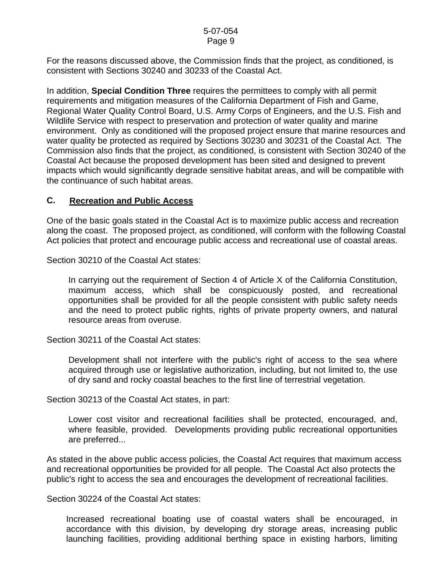For the reasons discussed above, the Commission finds that the project, as conditioned, is consistent with Sections 30240 and 30233 of the Coastal Act.

In addition, **Special Condition Three** requires the permittees to comply with all permit requirements and mitigation measures of the California Department of Fish and Game, Regional Water Quality Control Board, U.S. Army Corps of Engineers, and the U.S. Fish and Wildlife Service with respect to preservation and protection of water quality and marine environment. Only as conditioned will the proposed project ensure that marine resources and water quality be protected as required by Sections 30230 and 30231 of the Coastal Act. The Commission also finds that the project, as conditioned, is consistent with Section 30240 of the Coastal Act because the proposed development has been sited and designed to prevent impacts which would significantly degrade sensitive habitat areas, and will be compatible with the continuance of such habitat areas.

## **C. Recreation and Public Access**

One of the basic goals stated in the Coastal Act is to maximize public access and recreation along the coast. The proposed project, as conditioned, will conform with the following Coastal Act policies that protect and encourage public access and recreational use of coastal areas.

Section 30210 of the Coastal Act states:

 In carrying out the requirement of Section 4 of Article X of the California Constitution, maximum access, which shall be conspicuously posted, and recreational opportunities shall be provided for all the people consistent with public safety needs and the need to protect public rights, rights of private property owners, and natural resource areas from overuse.

Section 30211 of the Coastal Act states:

 Development shall not interfere with the public's right of access to the sea where acquired through use or legislative authorization, including, but not limited to, the use of dry sand and rocky coastal beaches to the first line of terrestrial vegetation.

Section 30213 of the Coastal Act states, in part:

 Lower cost visitor and recreational facilities shall be protected, encouraged, and, where feasible, provided. Developments providing public recreational opportunities are preferred...

As stated in the above public access policies, the Coastal Act requires that maximum access and recreational opportunities be provided for all people. The Coastal Act also protects the public's right to access the sea and encourages the development of recreational facilities.

Section 30224 of the Coastal Act states:

Increased recreational boating use of coastal waters shall be encouraged, in accordance with this division, by developing dry storage areas, increasing public launching facilities, providing additional berthing space in existing harbors, limiting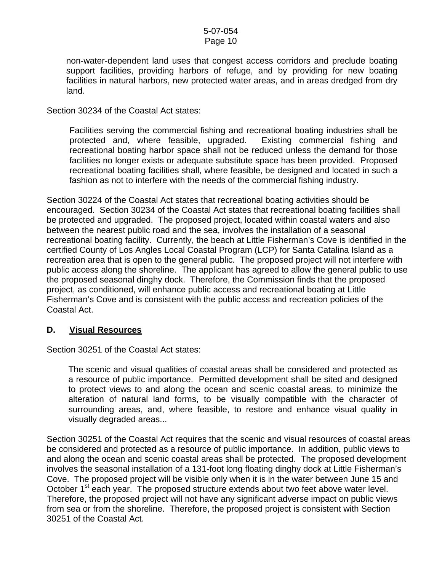non-water-dependent land uses that congest access corridors and preclude boating support facilities, providing harbors of refuge, and by providing for new boating facilities in natural harbors, new protected water areas, and in areas dredged from dry land.

Section 30234 of the Coastal Act states:

Facilities serving the commercial fishing and recreational boating industries shall be protected and, where feasible, upgraded. Existing commercial fishing and recreational boating harbor space shall not be reduced unless the demand for those facilities no longer exists or adequate substitute space has been provided. Proposed recreational boating facilities shall, where feasible, be designed and located in such a fashion as not to interfere with the needs of the commercial fishing industry.

Section 30224 of the Coastal Act states that recreational boating activities should be encouraged. Section 30234 of the Coastal Act states that recreational boating facilities shall be protected and upgraded. The proposed project, located within coastal waters and also between the nearest public road and the sea, involves the installation of a seasonal recreational boating facility. Currently, the beach at Little Fisherman's Cove is identified in the certified County of Los Angles Local Coastal Program (LCP) for Santa Catalina Island as a recreation area that is open to the general public. The proposed project will not interfere with public access along the shoreline. The applicant has agreed to allow the general public to use the proposed seasonal dinghy dock. Therefore, the Commission finds that the proposed project, as conditioned, will enhance public access and recreational boating at Little Fisherman's Cove and is consistent with the public access and recreation policies of the Coastal Act.

#### **D. Visual Resources**

Section 30251 of the Coastal Act states:

 The scenic and visual qualities of coastal areas shall be considered and protected as a resource of public importance. Permitted development shall be sited and designed to protect views to and along the ocean and scenic coastal areas, to minimize the alteration of natural land forms, to be visually compatible with the character of surrounding areas, and, where feasible, to restore and enhance visual quality in visually degraded areas...

Section 30251 of the Coastal Act requires that the scenic and visual resources of coastal areas be considered and protected as a resource of public importance. In addition, public views to and along the ocean and scenic coastal areas shall be protected. The proposed development involves the seasonal installation of a 131-foot long floating dinghy dock at Little Fisherman's Cove. The proposed project will be visible only when it is in the water between June 15 and October 1<sup>st</sup> each year. The proposed structure extends about two feet above water level. Therefore, the proposed project will not have any significant adverse impact on public views from sea or from the shoreline. Therefore, the proposed project is consistent with Section 30251 of the Coastal Act.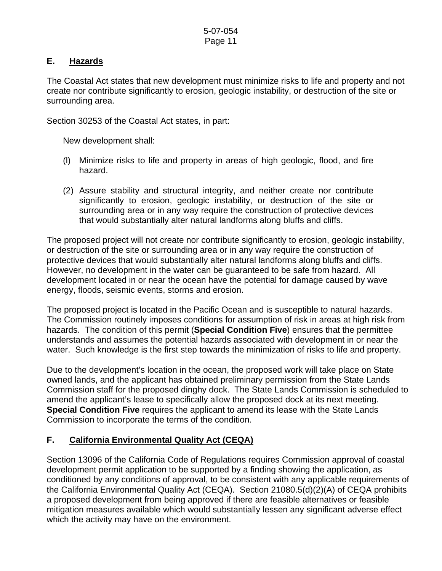# **E. Hazards**

The Coastal Act states that new development must minimize risks to life and property and not create nor contribute significantly to erosion, geologic instability, or destruction of the site or surrounding area.

Section 30253 of the Coastal Act states, in part:

New development shall:

- (l) Minimize risks to life and property in areas of high geologic, flood, and fire hazard.
- (2) Assure stability and structural integrity, and neither create nor contribute significantly to erosion, geologic instability, or destruction of the site or surrounding area or in any way require the construction of protective devices that would substantially alter natural landforms along bluffs and cliffs.

The proposed project will not create nor contribute significantly to erosion, geologic instability, or destruction of the site or surrounding area or in any way require the construction of protective devices that would substantially alter natural landforms along bluffs and cliffs. However, no development in the water can be guaranteed to be safe from hazard. All development located in or near the ocean have the potential for damage caused by wave energy, floods, seismic events, storms and erosion.

The proposed project is located in the Pacific Ocean and is susceptible to natural hazards. The Commission routinely imposes conditions for assumption of risk in areas at high risk from hazards. The condition of this permit (**Special Condition Five**) ensures that the permittee understands and assumes the potential hazards associated with development in or near the water. Such knowledge is the first step towards the minimization of risks to life and property.

Due to the development's location in the ocean, the proposed work will take place on State owned lands, and the applicant has obtained preliminary permission from the State Lands Commission staff for the proposed dinghy dock. The State Lands Commission is scheduled to amend the applicant's lease to specifically allow the proposed dock at its next meeting. **Special Condition Five** requires the applicant to amend its lease with the State Lands Commission to incorporate the terms of the condition.

# **F. California Environmental Quality Act (CEQA)**

Section 13096 of the California Code of Regulations requires Commission approval of coastal development permit application to be supported by a finding showing the application, as conditioned by any conditions of approval, to be consistent with any applicable requirements of the California Environmental Quality Act (CEQA). Section 21080.5(d)(2)(A) of CEQA prohibits a proposed development from being approved if there are feasible alternatives or feasible mitigation measures available which would substantially lessen any significant adverse effect which the activity may have on the environment.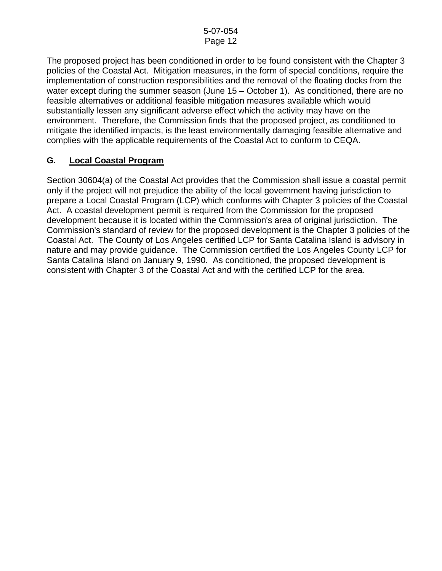The proposed project has been conditioned in order to be found consistent with the Chapter 3 policies of the Coastal Act. Mitigation measures, in the form of special conditions, require the implementation of construction responsibilities and the removal of the floating docks from the water except during the summer season (June 15 – October 1). As conditioned, there are no feasible alternatives or additional feasible mitigation measures available which would substantially lessen any significant adverse effect which the activity may have on the environment. Therefore, the Commission finds that the proposed project, as conditioned to mitigate the identified impacts, is the least environmentally damaging feasible alternative and complies with the applicable requirements of the Coastal Act to conform to CEQA.

# **G. Local Coastal Program**

Section 30604(a) of the Coastal Act provides that the Commission shall issue a coastal permit only if the project will not prejudice the ability of the local government having jurisdiction to prepare a Local Coastal Program (LCP) which conforms with Chapter 3 policies of the Coastal Act. A coastal development permit is required from the Commission for the proposed development because it is located within the Commission's area of original jurisdiction. The Commission's standard of review for the proposed development is the Chapter 3 policies of the Coastal Act. The County of Los Angeles certified LCP for Santa Catalina Island is advisory in nature and may provide guidance. The Commission certified the Los Angeles County LCP for Santa Catalina Island on January 9, 1990. As conditioned, the proposed development is consistent with Chapter 3 of the Coastal Act and with the certified LCP for the area.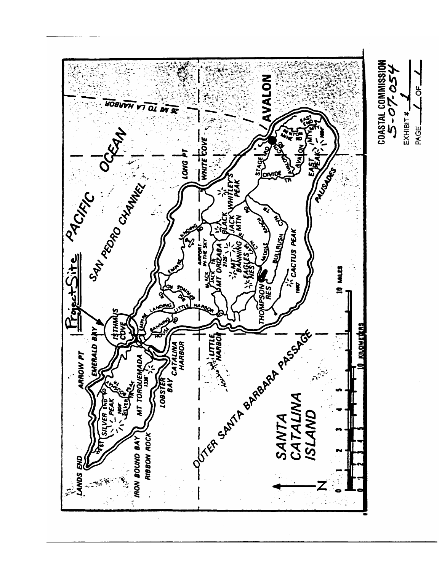

 $L$ <sup>OF</sup> $-1$ 

PAGE\_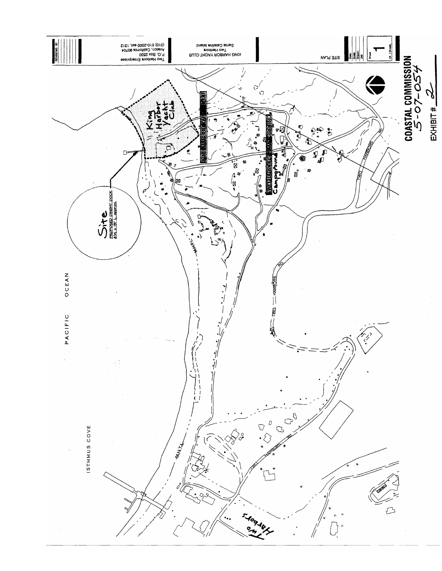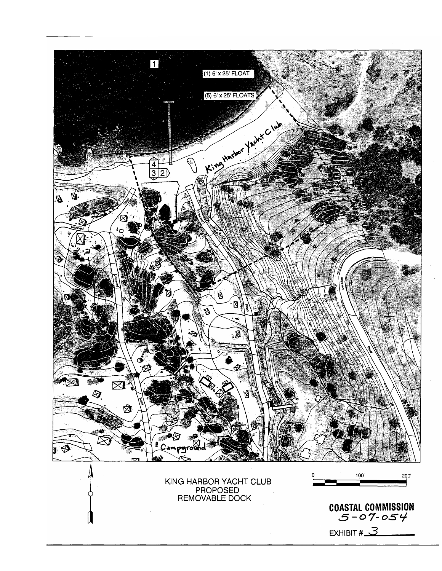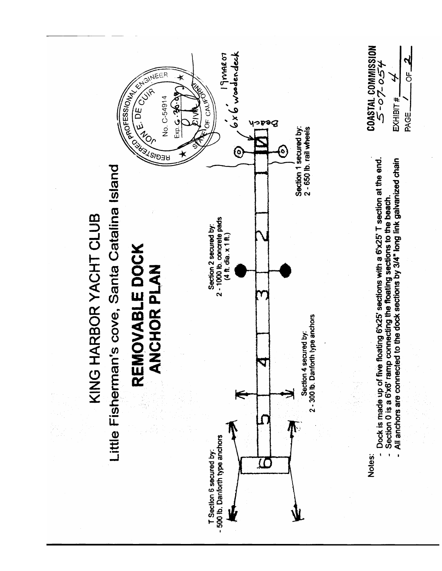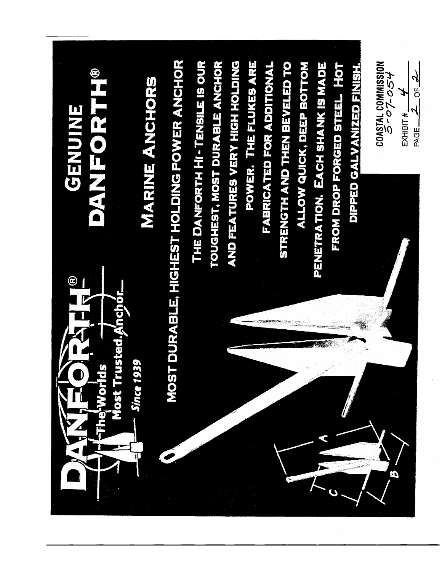**MOST DURABLE, HIGHEST HOLDING POWER ANCHOR** EXHIBIT #  $\frac{1}{2}$  of  $\frac{2}{\sqrt{2}}$ THE DANFORTH HI - TENSILE IS OUR **AND FEATURES VERY HIGH HOLDING** POWER. THE FLUKES ARE TOUGHEST, MOST DURABLE ANCHOR **FABRICATED FOR ADDITIONAL** STRENGTH AND THEN BEVELED TO PENETRATION. EACH SHANK IS MADE COASTAL COMMISSION<br>バインターク **ALLOW QUICK, DEEP BOTTOM** FROM DROP FORGED STEEL HOT **DIPPED GALVANIZED FINISH MARINE ANGHORS** EINIONE O **BANFOR** ඔ Most Trusted Anchor **Since 1939** Ø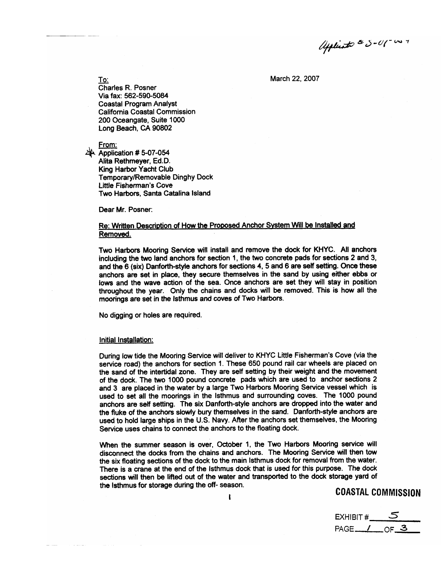Aplicato & 5-01-007

March 22, 2007

To:

Charles R. Posner Via fax: 562-590-5084 **Coastal Program Analyst** California Coastal Commission 200 Oceangate, Suite 1000 Long Beach, CA 90802

From:

Application # 5-07-054 Alita Rethmeyer, Ed.D. King Harbor Yacht Club Temporary/Removable Dinghy Dock Little Fisherman's Cove Two Harbors, Santa Catalina Island

Dear Mr. Posner:

#### Re: Written Description of How the Proposed Anchor System Will be Installed and Removed.

Two Harbors Mooring Service will install and remove the dock for KHYC. All anchors including the two land anchors for section 1, the two concrete pads for sections 2 and 3, and the 6 (six) Danforth-style anchors for sections 4, 5 and 6 are self setting. Once these anchors are set in place, they secure themselves in the sand by using either ebbs or lows and the wave action of the sea. Once anchors are set they will stay in position throughout the year. Only the chains and docks will be removed. This is how all the moorings are set in the Isthmus and coves of Two Harbors.

No digging or holes are required.

#### Initial Installation:

During low tide the Mooring Service will deliver to KHYC Little Fisherman's Cove (via the service road) the anchors for section 1. These 650 pound rail car wheels are placed on the sand of the intertidal zone. They are self setting by their weight and the movement of the dock. The two 1000 pound concrete pads which are used to anchor sections 2 and 3 are placed in the water by a large Two Harbors Mooring Service vessel which is used to set all the moorings in the Isthmus and surrounding coves. The 1000 pound anchors are self setting. The six Danforth-style anchors are dropped into the water and the fluke of the anchors slowly bury themselves in the sand. Danforth-style anchors are used to hold large ships in the U.S. Navy. After the anchors set themselves, the Mooring Service uses chains to connect the anchors to the floating dock.

When the summer season is over, October 1, the Two Harbors Mooring service will disconnect the docks from the chains and anchors. The Mooring Service will then tow the six floating sections of the dock to the main Isthmus dock for removal from the water. There is a crane at the end of the isthmus dock that is used for this purpose. The dock sections will then be lifted out of the water and transported to the dock storage yard of the Isthmus for storage during the off- season.

COASTAL COMMISSION

EXHIBIT #\_\_\_\_**\_** PAGE<sub>10F</sub>3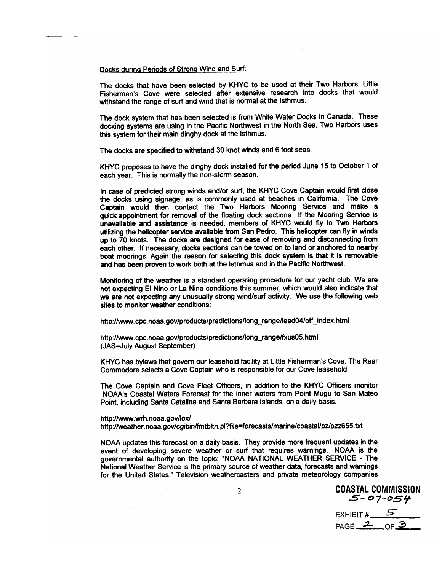#### Docks during Periods of Strong Wind and Surf:

The docks that have been selected by KHYC to be used at their Two Harbors, Little Fisherman's Cove were selected after extensive research into docks that would withstand the range of surf and wind that is normal at the Isthmus.

The dock system that has been selected is from White Water Docks in Canada. These docking systems are using in the Pacific Northwest in the North Sea. Two Harbors uses this system for their main dinghy dock at the Isthmus.

The docks are specified to withstand 30 knot winds and 6 foot seas.

KHYC proposes to have the dinghy dock installed for the period June 15 to October 1 of each year. This is normally the non-storm season.

In case of predicted strong winds and/or surf, the KHYC Cove Captain would first close the docks using signage, as is commonly used at beaches in California. The Cove Captain would then contact the Two Harbors Mooring Service and make a quick appointment for removal of the floating dock sections. If the Mooring Service is unavailable and assistance is needed, members of KHYC would fly to Two Harbors utilizing the helicopter service available from San Pedro. This helicopter can fly in winds up to 70 knots. The docks are designed for ease of removing and disconnecting from each other. If necessary, docks sections can be towed on to land or anchored to nearby boat moorings. Again the reason for selecting this dock system is that it is removable and has been proven to work both at the isthmus and in the Pacific Northwest.

Monitoring of the weather is a standard operating procedure for our yacht club. We are not expecting El Nino or La Nina conditions this summer, which would also indicate that we are not expecting any unusually strong wind/surf activity. We use the following web sites to monitor weather conditions:

http://www.cpc.noaa.gov/products/predictions/long\_range/lead04/off\_index.html

http://www.cpc.noaa.gov/products/predictions/long\_range/fxus05.html (JAS=July August September)

KHYC has bylaws that govern our leasehold facility at Little Fisherman's Cove. The Rear Commodore selects a Cove Captain who is responsible for our Cove leasehold.

The Cove Captain and Cove Fleet Officers, in addition to the KHYC Officers monitor NOAA's Coastal Waters Forecast for the inner waters from Point Mugu to San Mateo Point, including Santa Catalina and Santa Barbara Islands, on a daily basis.

#### http://www.wrh.noaa.gov/lox/

http://weather.noaa.gov/cgibin/fmtbltn.pl?file=forecasts/marine/coastal/pz/pzz655.txt

NOAA updates this forecast on a daily basis. They provide more frequent updates in the event of developing severe weather or surf that requires warnings. NOAA is the governmental authority on the topic: "NOAA NATIONAL WEATHER SERVICE - The National Weather Service is the primary source of weather data, forecasts and warnings for the United States." Television weathercasters and private meteorology companies

COASTAL COMMISSION  $5 - 07 - 054$ EXHIBIT # $\underline{\phantom{a}}$ 

PAGE  $20F$  OF 3

 $\overline{2}$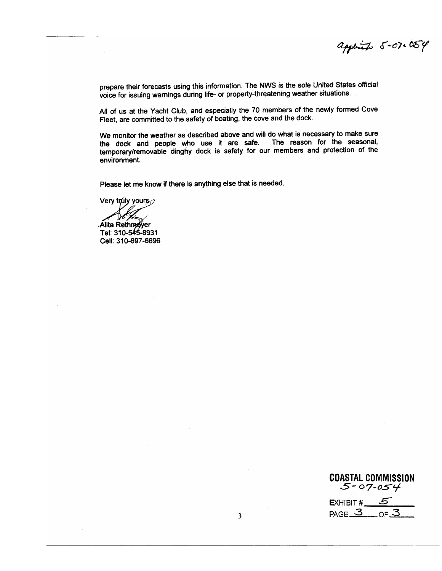applied 5-07.054

prepare their forecasts using this information. The NWS is the sole United States official voice for issuing warnings during life- or property-threatening weather situations.

All of us at the Yacht Club, and especially the 70 members of the newly formed Cove Fleet, are committed to the safety of boating, the cove and the dock.

We monitor the weather as described above and will do what is necessary to make sure the dock and people who use it are safe. The reason for the seasonal, temporary/removable dinghy dock is safety for our members and protection of the environment.

Please let me know if there is anything else that is needed.

Very truly yours

Alita Rethmeyer Tel: 310-545-8931 Cell: 310-697-6696

COASTAL COMMISSION<br>C-07-054 EXHIBIT  $\#$  5  $PAGE \underline{3}$  or  $\underline{3}$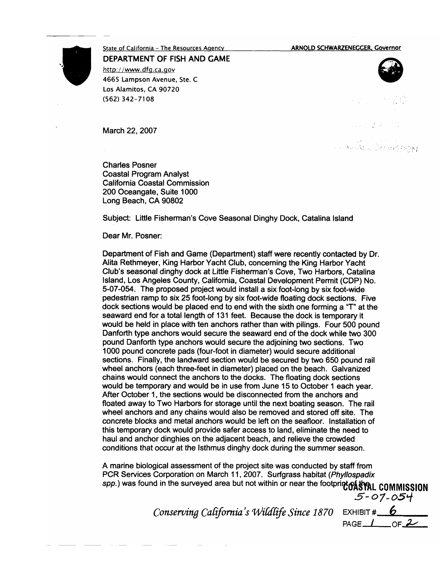ARNOLD SCHWARZENEGGER, Governor



State of California - The Resources Agency DEPARTMENT OF FISH AND GAME http://www.dfg.ca.gov 4665 Lampson Avenue, Ste. C Los Alamitos, CA 90720

March 22, 2007

(562) 342-7108

**Charles Posner Coastal Program Analyst** California Coastal Commission 200 Oceangate, Suite 1000 Long Beach, CA 90802

Subject: Little Fisherman's Cove Seasonal Dinghy Dock, Catalina Island

Dear Mr. Posner:

Department of Fish and Game (Department) staff were recently contacted by Dr. Alita Rethmeyer, King Harbor Yacht Club, concerning the King Harbor Yacht Club's seasonal dinghy dock at Little Fisherman's Cove, Two Harbors, Catalina Island, Los Angeles County, California, Coastal Development Permit (CDP) No. 5-07-054. The proposed project would install a six foot-long by six foot-wide pedestrian ramp to six 25 foot-long by six foot-wide floating dock sections. Five dock sections would be placed end to end with the sixth one forming a "T" at the seaward end for a total length of 131 feet. Because the dock is temporary it would be held in place with ten anchors rather than with pilings. Four 500 pound Danforth type anchors would secure the seaward end of the dock while two 300 pound Danforth type anchors would secure the adjoining two sections. Two 1000 pound concrete pads (four-foot in diameter) would secure additional sections. Finally, the landward section would be secured by two 650 pound rail wheel anchors (each three-feet in diameter) placed on the beach. Galvanized chains would connect the anchors to the docks. The floating dock sections would be temporary and would be in use from June 15 to October 1 each year. After October 1, the sections would be disconnected from the anchors and floated away to Two Harbors for storage until the next boating season. The rail wheel anchors and any chains would also be removed and stored off site. The concrete blocks and metal anchors would be left on the seafloor. Installation of this temporary dock would provide safer access to land, eliminate the need to haul and anchor dinghies on the adjacent beach, and relieve the crowded conditions that occur at the Isthmus dinghy dock during the summer season.

A marine biological assessment of the project site was conducted by staff from PCR Services Corporation on March 11, 2007. Surfgrass habitat (Phyllospadix spp.) was found in the surveyed area but not within or near the footprint of that COMMISSION

EXHIBIT  $\#$  6 Conserving California's Wildlife Since 1870 PAGE  $\perp$  of  $\overline{2}$ 

**AS AND COMMASSION** 

 $5 - 07 - 054$